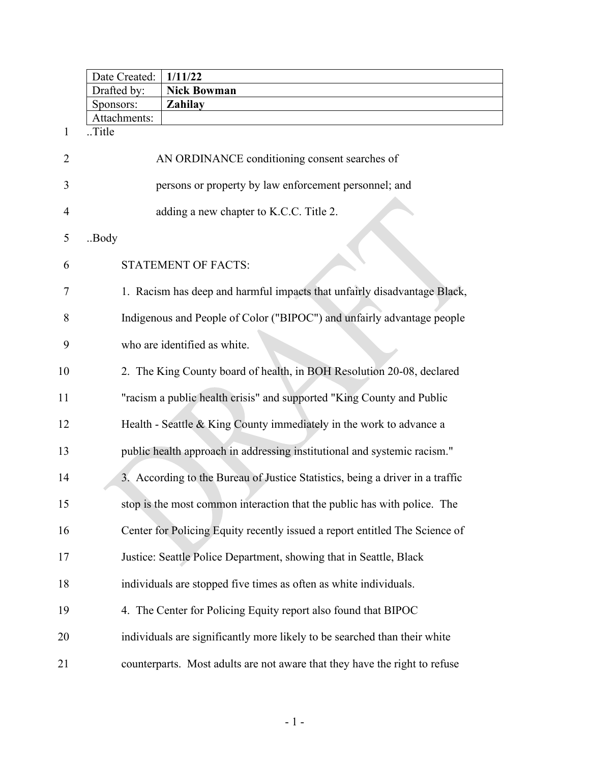|                | Date Created:         | 1/11/22                                                                       |
|----------------|-----------------------|-------------------------------------------------------------------------------|
|                | Drafted by:           | <b>Nick Bowman</b>                                                            |
|                | Sponsors:             | <b>Zahilay</b>                                                                |
| 1              | Attachments:<br>Title |                                                                               |
|                |                       |                                                                               |
| $\overline{2}$ |                       | AN ORDINANCE conditioning consent searches of                                 |
| 3              |                       | persons or property by law enforcement personnel; and                         |
| 4              |                       | adding a new chapter to K.C.C. Title 2.                                       |
| 5              | .Body                 |                                                                               |
| 6              |                       | <b>STATEMENT OF FACTS:</b>                                                    |
| 7              |                       | 1. Racism has deep and harmful impacts that unfairly disadvantage Black,      |
| 8              |                       | Indigenous and People of Color ("BIPOC") and unfairly advantage people        |
| 9              |                       | who are identified as white.                                                  |
| 10             |                       | 2. The King County board of health, in BOH Resolution 20-08, declared         |
| 11             |                       | "racism a public health crisis" and supported "King County and Public         |
| 12             |                       | Health - Seattle & King County immediately in the work to advance a           |
| 13             |                       | public health approach in addressing institutional and systemic racism."      |
| 14             |                       | 3. According to the Bureau of Justice Statistics, being a driver in a traffic |
| 15             |                       | stop is the most common interaction that the public has with police. The      |
| 16             |                       | Center for Policing Equity recently issued a report entitled The Science of   |
| 17             |                       | Justice: Seattle Police Department, showing that in Seattle, Black            |
| 18             |                       | individuals are stopped five times as often as white individuals.             |
| 19             |                       | 4. The Center for Policing Equity report also found that BIPOC                |
| 20             |                       | individuals are significantly more likely to be searched than their white     |
| 21             |                       | counterparts. Most adults are not aware that they have the right to refuse    |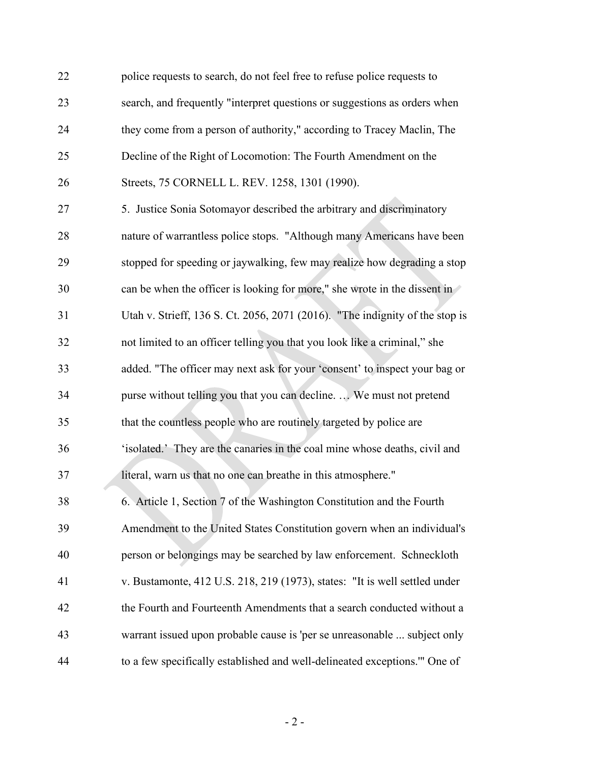| 22 | police requests to search, do not feel free to refuse police requests to     |
|----|------------------------------------------------------------------------------|
| 23 | search, and frequently "interpret questions or suggestions as orders when    |
| 24 | they come from a person of authority," according to Tracey Maclin, The       |
| 25 | Decline of the Right of Locomotion: The Fourth Amendment on the              |
| 26 | Streets, 75 CORNELL L. REV. 1258, 1301 (1990).                               |
| 27 | 5. Justice Sonia Sotomayor described the arbitrary and discriminatory        |
| 28 | nature of warrantless police stops. "Although many Americans have been       |
| 29 | stopped for speeding or jaywalking, few may realize how degrading a stop     |
| 30 | can be when the officer is looking for more," she wrote in the dissent in    |
| 31 | Utah v. Strieff, 136 S. Ct. 2056, 2071 (2016). "The indignity of the stop is |
| 32 | not limited to an officer telling you that you look like a criminal," she    |
| 33 | added. "The officer may next ask for your 'consent' to inspect your bag or   |
| 34 | purse without telling you that you can decline.  We must not pretend         |
| 35 | that the countless people who are routinely targeted by police are           |
| 36 | 'isolated.' They are the canaries in the coal mine whose deaths, civil and   |
| 37 | literal, warn us that no one can breathe in this atmosphere."                |
| 38 | 6. Article 1, Section 7 of the Washington Constitution and the Fourth        |
| 39 | Amendment to the United States Constitution govern when an individual's      |
| 40 | person or belongings may be searched by law enforcement. Schneckloth         |
| 41 | v. Bustamonte, 412 U.S. 218, 219 (1973), states: "It is well settled under   |
| 42 | the Fourth and Fourteenth Amendments that a search conducted without a       |
| 43 | warrant issued upon probable cause is 'per se unreasonable  subject only     |
| 44 | to a few specifically established and well-delineated exceptions." One of    |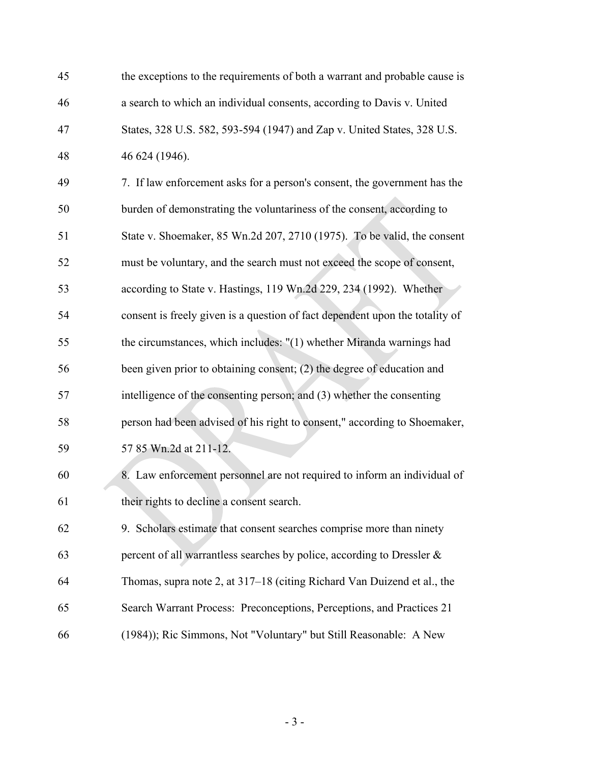| 45 | the exceptions to the requirements of both a warrant and probable cause is   |
|----|------------------------------------------------------------------------------|
| 46 | a search to which an individual consents, according to Davis v. United       |
| 47 | States, 328 U.S. 582, 593-594 (1947) and Zap v. United States, 328 U.S.      |
| 48 | 46 624 (1946).                                                               |
| 49 | 7. If law enforcement asks for a person's consent, the government has the    |
| 50 | burden of demonstrating the voluntariness of the consent, according to       |
| 51 | State v. Shoemaker, 85 Wn.2d 207, 2710 (1975). To be valid, the consent      |
| 52 | must be voluntary, and the search must not exceed the scope of consent,      |
| 53 | according to State v. Hastings, 119 Wn.2d 229, 234 (1992). Whether           |
| 54 | consent is freely given is a question of fact dependent upon the totality of |
| 55 | the circumstances, which includes: "(1) whether Miranda warnings had         |
| 56 | been given prior to obtaining consent; (2) the degree of education and       |
| 57 | intelligence of the consenting person; and (3) whether the consenting        |
| 58 | person had been advised of his right to consent," according to Shoemaker,    |
| 59 | 57 85 Wn.2d at 211-12.                                                       |
| 60 | 8. Law enforcement personnel are not required to inform an individual of     |
| 61 | their rights to decline a consent search.                                    |
| 62 | 9. Scholars estimate that consent searches comprise more than ninety         |
| 63 | percent of all warrantless searches by police, according to Dressler &       |
| 64 | Thomas, supra note 2, at 317–18 (citing Richard Van Duizend et al., the      |
| 65 | Search Warrant Process: Preconceptions, Perceptions, and Practices 21        |
| 66 | (1984)); Ric Simmons, Not "Voluntary" but Still Reasonable: A New            |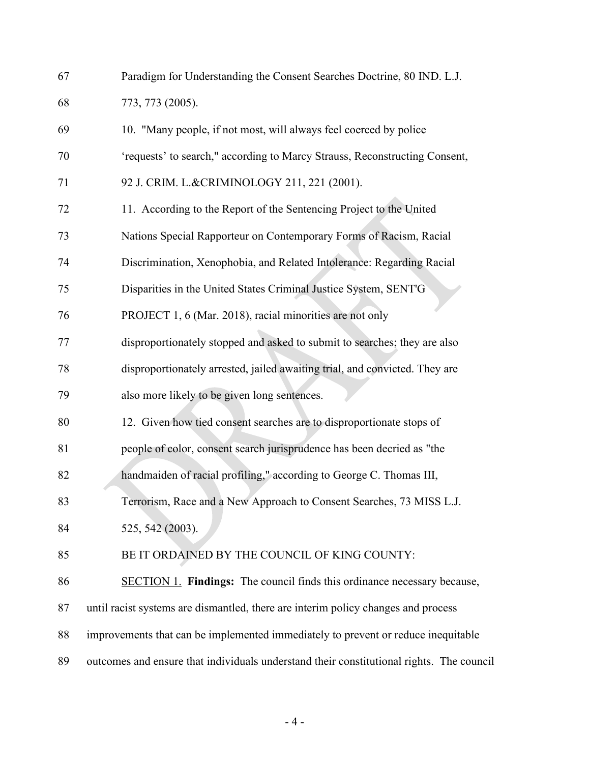| 67 | Paradigm for Understanding the Consent Searches Doctrine, 80 IND. L.J.                   |
|----|------------------------------------------------------------------------------------------|
| 68 | 773, 773 (2005).                                                                         |
| 69 | 10. "Many people, if not most, will always feel coerced by police                        |
| 70 | 'requests' to search," according to Marcy Strauss, Reconstructing Consent,               |
| 71 | 92 J. CRIM. L.&CRIMINOLOGY 211, 221 (2001).                                              |
| 72 | 11. According to the Report of the Sentencing Project to the United                      |
| 73 | Nations Special Rapporteur on Contemporary Forms of Racism, Racial                       |
| 74 | Discrimination, Xenophobia, and Related Intolerance: Regarding Racial                    |
| 75 | Disparities in the United States Criminal Justice System, SENT'G                         |
| 76 | PROJECT 1, 6 (Mar. 2018), racial minorities are not only                                 |
| 77 | disproportionately stopped and asked to submit to searches; they are also                |
| 78 | disproportionately arrested, jailed awaiting trial, and convicted. They are              |
| 79 | also more likely to be given long sentences.                                             |
| 80 | 12. Given how tied consent searches are to disproportionate stops of                     |
| 81 | people of color, consent search jurisprudence has been decried as "the                   |
| 82 | handmaiden of racial profiling," according to George C. Thomas III,                      |
| 83 | Terrorism, Race and a New Approach to Consent Searches, 73 MISS L.J.                     |
| 84 | 525, 542 (2003).                                                                         |
| 85 | BE IT ORDAINED BY THE COUNCIL OF KING COUNTY:                                            |
| 86 | SECTION 1. Findings: The council finds this ordinance necessary because,                 |
| 87 | until racist systems are dismantled, there are interim policy changes and process        |
| 88 | improvements that can be implemented immediately to prevent or reduce inequitable        |
| 89 | outcomes and ensure that individuals understand their constitutional rights. The council |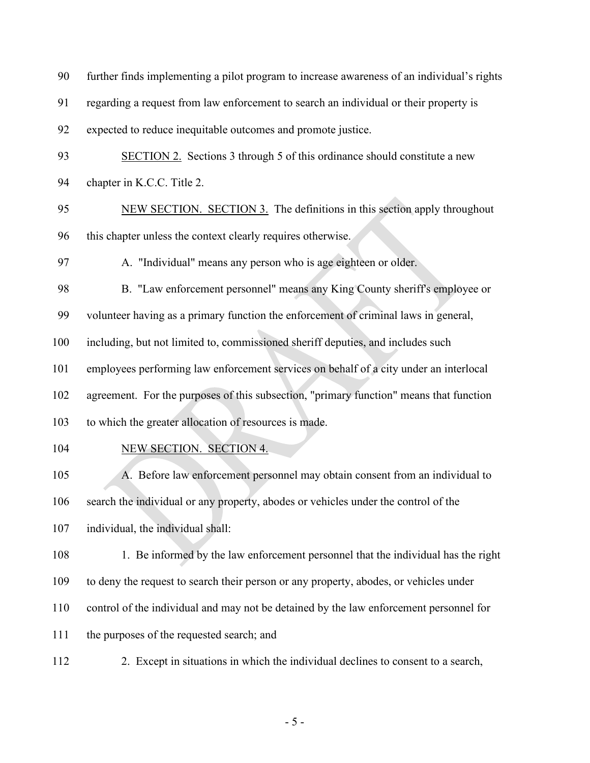| 90  | further finds implementing a pilot program to increase awareness of an individual's rights |
|-----|--------------------------------------------------------------------------------------------|
| 91  | regarding a request from law enforcement to search an individual or their property is      |
| 92  | expected to reduce inequitable outcomes and promote justice.                               |
| 93  | <b>SECTION 2.</b> Sections 3 through 5 of this ordinance should constitute a new           |
| 94  | chapter in K.C.C. Title 2.                                                                 |
| 95  | NEW SECTION. SECTION 3. The definitions in this section apply throughout                   |
| 96  | this chapter unless the context clearly requires otherwise.                                |
| 97  | A. "Individual" means any person who is age eighteen or older.                             |
| 98  | B. "Law enforcement personnel" means any King County sheriff's employee or                 |
| 99  | volunteer having as a primary function the enforcement of criminal laws in general,        |
| 100 | including, but not limited to, commissioned sheriff deputies, and includes such            |
| 101 | employees performing law enforcement services on behalf of a city under an interlocal      |
| 102 | agreement. For the purposes of this subsection, "primary function" means that function     |
| 103 | to which the greater allocation of resources is made.                                      |
| 104 | NEW SECTION. SECTION 4.                                                                    |
| 105 | A. Before law enforcement personnel may obtain consent from an individual to               |
| 106 | search the individual or any property, abodes or vehicles under the control of the         |
| 107 | individual, the individual shall:                                                          |
| 108 | 1. Be informed by the law enforcement personnel that the individual has the right          |
| 109 | to deny the request to search their person or any property, abodes, or vehicles under      |
| 110 | control of the individual and may not be detained by the law enforcement personnel for     |
| 111 | the purposes of the requested search; and                                                  |
| 112 | 2. Except in situations in which the individual declines to consent to a search,           |

- 5 -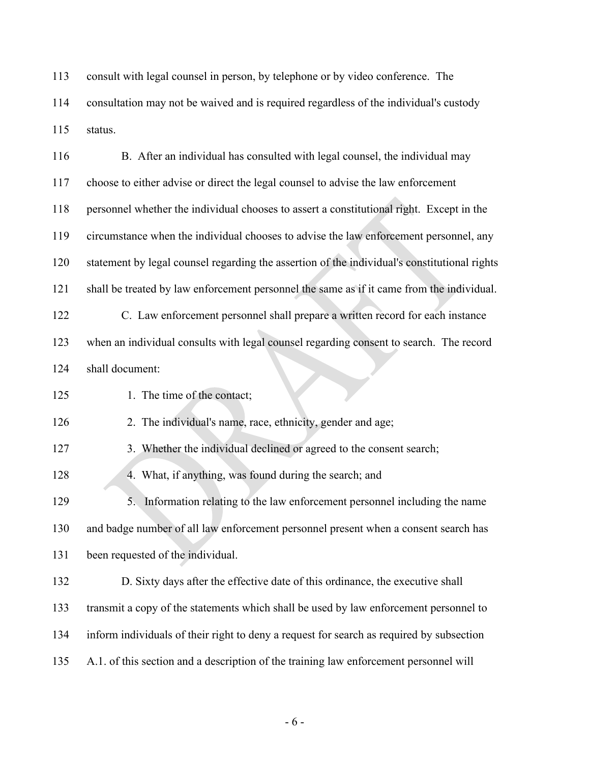consult with legal counsel in person, by telephone or by video conference. The consultation may not be waived and is required regardless of the individual's custody status.

| 116 | B. After an individual has consulted with legal counsel, the individual may                  |
|-----|----------------------------------------------------------------------------------------------|
| 117 | choose to either advise or direct the legal counsel to advise the law enforcement            |
| 118 | personnel whether the individual chooses to assert a constitutional right. Except in the     |
| 119 | circumstance when the individual chooses to advise the law enforcement personnel, any        |
| 120 | statement by legal counsel regarding the assertion of the individual's constitutional rights |
| 121 | shall be treated by law enforcement personnel the same as if it came from the individual.    |
| 122 | C. Law enforcement personnel shall prepare a written record for each instance                |
| 123 | when an individual consults with legal counsel regarding consent to search. The record       |
| 124 | shall document:                                                                              |
| 125 | 1. The time of the contact;                                                                  |
| 126 | 2. The individual's name, race, ethnicity, gender and age;                                   |
| 127 | 3. Whether the individual declined or agreed to the consent search;                          |
| 128 | 4. What, if anything, was found during the search; and                                       |
| 129 | 5. Information relating to the law enforcement personnel including the name                  |
| 130 | and badge number of all law enforcement personnel present when a consent search has          |
| 131 | been requested of the individual.                                                            |
| 132 | D. Sixty days after the effective date of this ordinance, the executive shall                |
| 133 | transmit a copy of the statements which shall be used by law enforcement personnel to        |
| 134 | inform individuals of their right to deny a request for search as required by subsection     |
| 135 | A.1. of this section and a description of the training law enforcement personnel will        |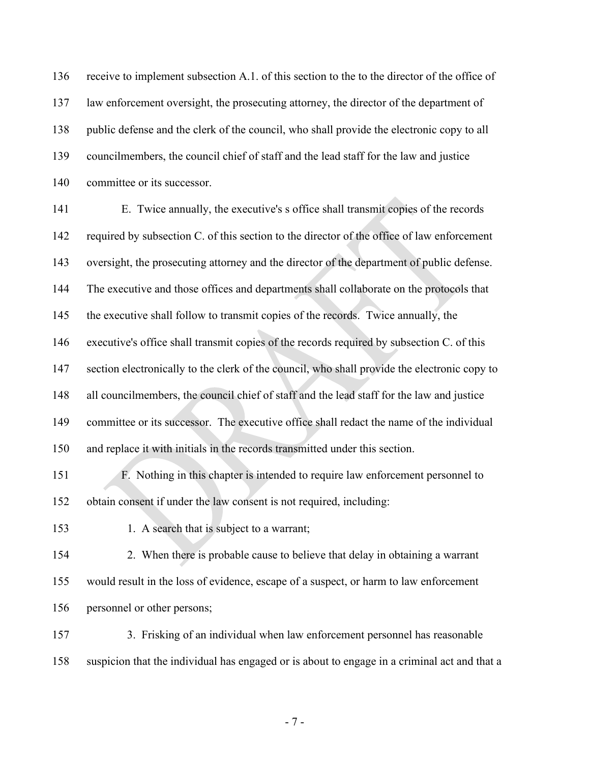receive to implement subsection A.1. of this section to the to the director of the office of law enforcement oversight, the prosecuting attorney, the director of the department of public defense and the clerk of the council, who shall provide the electronic copy to all councilmembers, the council chief of staff and the lead staff for the law and justice committee or its successor.

 E. Twice annually, the executive's s office shall transmit copies of the records 142 required by subsection C. of this section to the director of the office of law enforcement 143 oversight, the prosecuting attorney and the director of the department of public defense. The executive and those offices and departments shall collaborate on the protocols that the executive shall follow to transmit copies of the records. Twice annually, the executive's office shall transmit copies of the records required by subsection C. of this 147 section electronically to the clerk of the council, who shall provide the electronic copy to all councilmembers, the council chief of staff and the lead staff for the law and justice committee or its successor. The executive office shall redact the name of the individual and replace it with initials in the records transmitted under this section. F. Nothing in this chapter is intended to require law enforcement personnel to

obtain consent if under the law consent is not required, including:

153 1. A search that is subject to a warrant;

154 2. When there is probable cause to believe that delay in obtaining a warrant would result in the loss of evidence, escape of a suspect, or harm to law enforcement personnel or other persons;

157 3. Frisking of an individual when law enforcement personnel has reasonable suspicion that the individual has engaged or is about to engage in a criminal act and that a

- 7 -